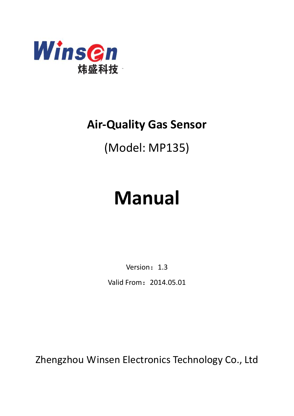

## **Air-Quality Gas Sensor**

## (Model: MP135)

# **Manual**

Version: 1.3

Valid From:2014.05.01

Zhengzhou Winsen Electronics Technology Co., Ltd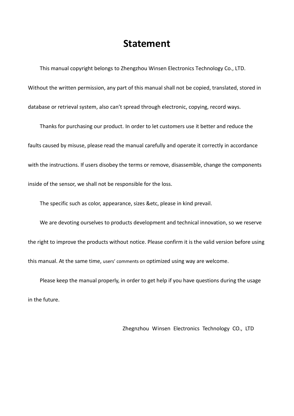### **Statement**

This manual copyright belongs to Zhengzhou Winsen Electronics Technology Co., LTD. Without the written permission, any part of this manual shall not be copied, translated, stored in database or retrieval system, also can't spread through electronic, copying, record ways.

Thanks for purchasing our product. In order to let customers use it better and reduce the faults caused by misuse, please read the manual carefully and operate it correctly in accordance with the instructions. If users disobey the terms or remove, disassemble, change the components inside of the sensor, we shall not be responsible for the loss.

The specific such as color, appearance, sizes &etc, please in kind prevail.

We are devoting ourselves to products development and technical innovation, so we reserve the right to improve the products without notice. Please confirm it is the valid version before using this manual. At the same time, users' comments on optimized using way are welcome.

Please keep the manual properly, in order to get help if you have questions during the usage in the future.

Zhegnzhou Winsen Electronics Technology CO., LTD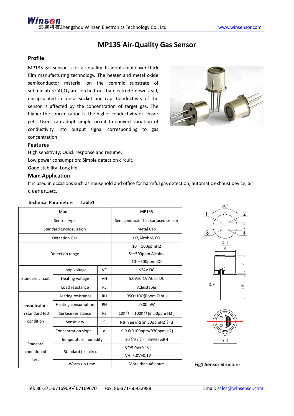#### **MP135 Air-Quality Gas Sensor**

#### **Profile**

MP135 gas sensor is for air quality. It adopts multilayer thick film manufacturing technology. The heater and metal oxide semiconductor material on the ceramic substrate of subminiature  $Al_2O_3$  are fetched out by electrode down-lead, encapsulated in metal socket and cap. Conductivity of the sensor is affected by the concentration of target gas. The higher the concentration is, the higher conductivity of sensor gets. Users can adopt simple circuit to convert variation of conductivity into output signal corresponding to gas concentration.



#### **Features**

High sensitivity; Quick response and resume; Low power consumption; Simple detection circuit, Good stability; Long life.

#### **Main Application**

It is used in occasions such as household and office for harmful gas detection, automatic exhaust device, air [cleaner](app:ds:cleaner)…etc.

#### **Technical Parameters table1**

| Model                         |                                       |           | MP135                                     |
|-------------------------------|---------------------------------------|-----------|-------------------------------------------|
| Sensor Type                   |                                       |           | Semiconductor flat surfaced sensor        |
| <b>Standard Encapsulation</b> |                                       |           | <b>Metal Cap</b>                          |
| <b>Detection Gas</b>          |                                       |           | H <sub>2</sub> , Alcohol, CO              |
|                               |                                       |           | $10^\sim$ 500ppmH2                        |
| Detection range               |                                       |           | $5^{\sim}$ 500ppm Alcohol                 |
|                               |                                       |           | 10 $\sim$ 500ppm CO                       |
|                               | Loop voltage                          | VC        | $≤24V$ DC                                 |
| Standard circuit              | Heating voltage                       | VH        | 5.0V±0.1V AC or DC                        |
|                               | Load resistance                       | <b>RL</b> | Adjustable                                |
|                               | Heating resistance                    | <b>RH</b> | 95Ω±10Ω(Room Tem.)                        |
| sensor features               | Heating consumption                   | PH        | $\leq$ 300mW                              |
| in standard test              | Surface resistance                    | <b>RS</b> | 10K $\Omega$ ~100K $\Omega$ (in 50ppm H2) |
| condition                     | Sensitivity                           | S         | Rs(in air)/Rs(in 50ppmH2) $\geq$ 3        |
|                               | Concentration slope                   | $\alpha$  | $\leq 0.6$ (R100ppm/R30ppm H2)            |
|                               | Temperature, humidity                 |           | 20°C±2°C: 65%±5%RH                        |
| Standard<br>condition of      | Standard test circuit<br>Warm-up time |           | VC:5.0V±0.1V;                             |
| test                          |                                       |           | VH:5.0V±0.1V                              |
|                               |                                       |           | More than 48 hours                        |



**Fig1.Sensor Structure**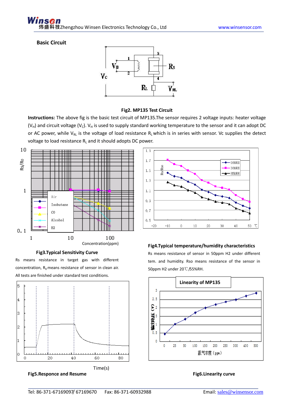#### Winsen ¤技zhengzhou Winsen Electronics Technology Co., Ltd www.winsensor.com

#### **Basic Circuit**



#### **Fig2. MP135 Test Circuit**

**Instructions:** The above fig is the basic test circuit of MP135.The sensor requires 2 voltage inputs: heater voltage ( $V_H$ ) and circuit voltage ( $V_C$ ).  $V_H$  is used to supply standard working temperature to the sensor and it can adopt DC or AC power, while  $V_{RL}$  is the voltage of load resistance  $R_L$  which is in series with sensor. Vc supplies the detect voltage to load resistance  $R_L$  and it should adopts DC power.



#### **Fig3.Typical Sensitivity Curve**

Rs means resistance in target gas with different concentration,  $R_0$  means resistance of sensor in clean air. All tests are finished under standard test conditions.







#### **Fig4.Typical temperature/humidity characteristics**

Rs means resistance of sensor in 50ppm H2 under different tem. and humidity. Rso means resistance of the sensor in 50ppm H2 under 20℃/55%RH.

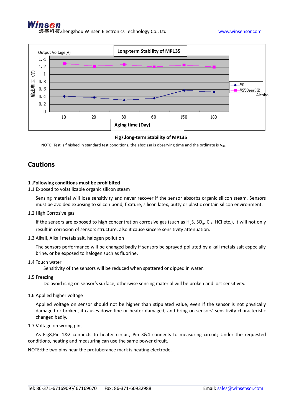

#### **Fig7.long-term Stability of MP135**

NOTE: Test is finished in standard test conditions, the abscissa is observing time and the ordinate is  $V_{RL}$ .

#### **Cautions**

#### **1 .Following conditions must be prohibited**

1.1 Exposed to volatilizable organic silicon steam

Sensing material will lose sensitivity and never recover if the sensor absorbs organic silicon steam. Sensors must be avoided exposing to silicon bond, fixature, silicon latex, putty or plastic contain silicon environment.

1.2 High Corrosive gas

If the sensors are exposed to high concentration corrosive gas (such as  $H_2S$ , SO<sub>x</sub>, Cl<sub>2</sub>, HCl etc.), it will not only result in corrosion of sensors structure, also it cause sincere sensitivity attenuation.

1.3 Alkali, Alkali metals salt, halogen pollution

The sensors performance will be changed badly if sensors be sprayed polluted by alkali metals salt especially brine, or be exposed to halogen such as fluorine.

1.4 Touch water

Sensitivity of the sensors will be reduced when spattered or dipped in water.

1.5 Freezing

Do avoid icing on sensor's surface, otherwise sensing material will be broken and lost sensitivity.

1.6 Applied higher voltage

Applied voltage on sensor should not be higher than stipulated value, even if the sensor is not physically damaged or broken, it causes down-line or heater damaged, and bring on sensors' sensitivity characteristic changed badly.

1.7 Voltage on wrong pins

 As Fig8,Pin 1&2 connects to heater circuit, Pin 3&4 connects to measuring circuit; Under the requested conditions, heating and measuring can use the same power circuit.

NOTE:the two pins near the protuberance mark is heating electrode.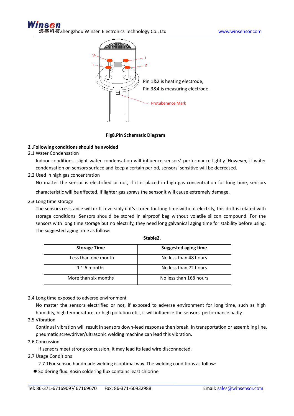

#### **Fig8.Pin Schematic Diagram**

#### **2 .Following conditions should be avoided**

2.1 Water Condensation

Indoor conditions, slight water condensation will influence sensors' performance lightly. However, if water condensation on sensors surface and keep a certain period, sensors' sensitive will be decreased.

2.2 Used in high gas concentration

No matter the sensor is electrified or not, if it is placed in high gas concentration for long time, sensors

characteristic will be affected. If lighter gas sprays the sensor,it will cause extremely damage.

2.3 Long time storage

The sensors resistance will drift reversibly if it's stored for long time without electrify, this drift is related with storage conditions. Sensors should be stored in airproof bag without volatile silicon compound. For the sensors with long time storage but no electrify, they need long galvanical aging time for stability before using. The suggested aging time as follow:

| <b>Storage Time</b>  | <b>Suggested aging time</b> |
|----------------------|-----------------------------|
| Less than one month  | No less than 48 hours       |
| $1~\degree$ 6 months | No less than 72 hours       |
| More than six months | No less than 168 hours      |

#### **Stable2.**

2.4 Long time exposed to adverse environment

No matter the sensors electrified or not, if exposed to adverse environment for long time, such as high humidity, high temperature, or high pollution etc., it will influence the sensors' performance badly.

2.5 Vibration

Continual vibration will result in sensors down-lead response then break. In transportation or assembling line, pneumatic screwdriver/ultrasonic welding machine can lead this vibration.

2.6 Concussion

If sensors meet strong concussion, it may lead its lead wire disconnected.

- 2.7 Usage Conditions
	- 2.7.1For sensor, handmade welding is optimal way. The welding conditions as follow:
	- Soldering flux: Rosin soldering flux contains least chlorine